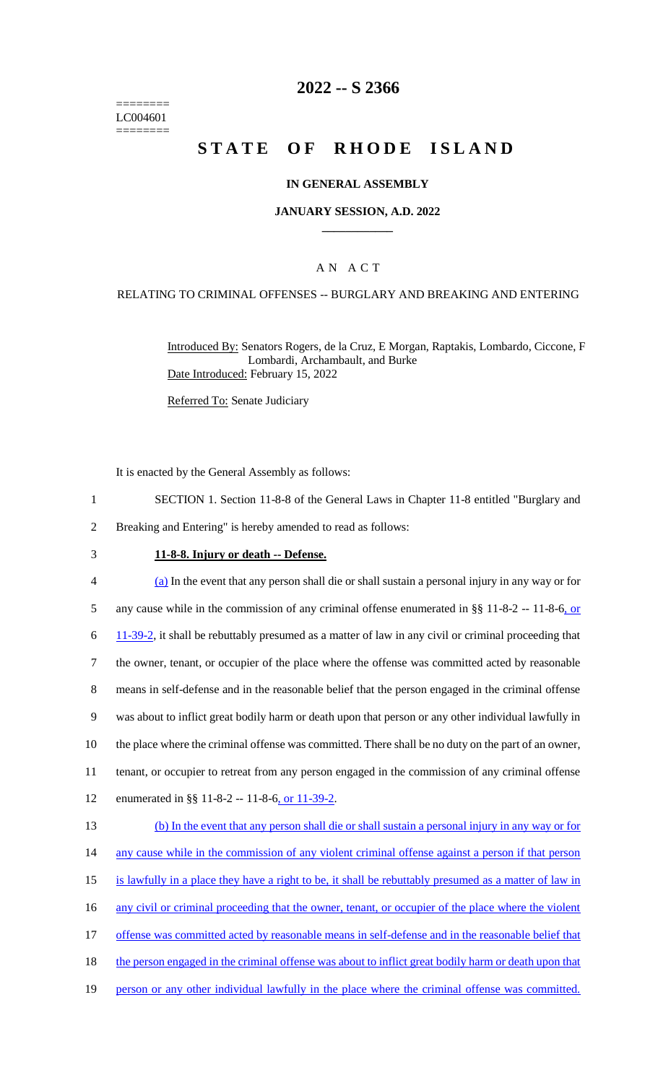======== LC004601 ========

### **2022 -- S 2366**

# **STATE OF RHODE ISLAND**

#### **IN GENERAL ASSEMBLY**

#### **JANUARY SESSION, A.D. 2022 \_\_\_\_\_\_\_\_\_\_\_\_**

### A N A C T

#### RELATING TO CRIMINAL OFFENSES -- BURGLARY AND BREAKING AND ENTERING

Introduced By: Senators Rogers, de la Cruz, E Morgan, Raptakis, Lombardo, Ciccone, F Lombardi, Archambault, and Burke Date Introduced: February 15, 2022

Referred To: Senate Judiciary

It is enacted by the General Assembly as follows:

- 1 SECTION 1. Section 11-8-8 of the General Laws in Chapter 11-8 entitled "Burglary and
- 2 Breaking and Entering" is hereby amended to read as follows:
- 3 **11-8-8. Injury or death -- Defense.**

 (a) In the event that any person shall die or shall sustain a personal injury in any way or for 5 any cause while in the commission of any criminal offense enumerated in  $\S$ § 11-8-2 -- 11-8-6, or 11-39-2, it shall be rebuttably presumed as a matter of law in any civil or criminal proceeding that the owner, tenant, or occupier of the place where the offense was committed acted by reasonable means in self-defense and in the reasonable belief that the person engaged in the criminal offense was about to inflict great bodily harm or death upon that person or any other individual lawfully in the place where the criminal offense was committed. There shall be no duty on the part of an owner, tenant, or occupier to retreat from any person engaged in the commission of any criminal offense 12 enumerated in §§ 11-8-2 -- 11-8-6, or 11-39-2. (b) In the event that any person shall die or shall sustain a personal injury in any way or for 14 any cause while in the commission of any violent criminal offense against a person if that person

- 15 is lawfully in a place they have a right to be, it shall be rebuttably presumed as a matter of law in
- 16 any civil or criminal proceeding that the owner, tenant, or occupier of the place where the violent
- 17 offense was committed acted by reasonable means in self-defense and in the reasonable belief that
- 18 the person engaged in the criminal offense was about to inflict great bodily harm or death upon that
- 19 person or any other individual lawfully in the place where the criminal offense was committed.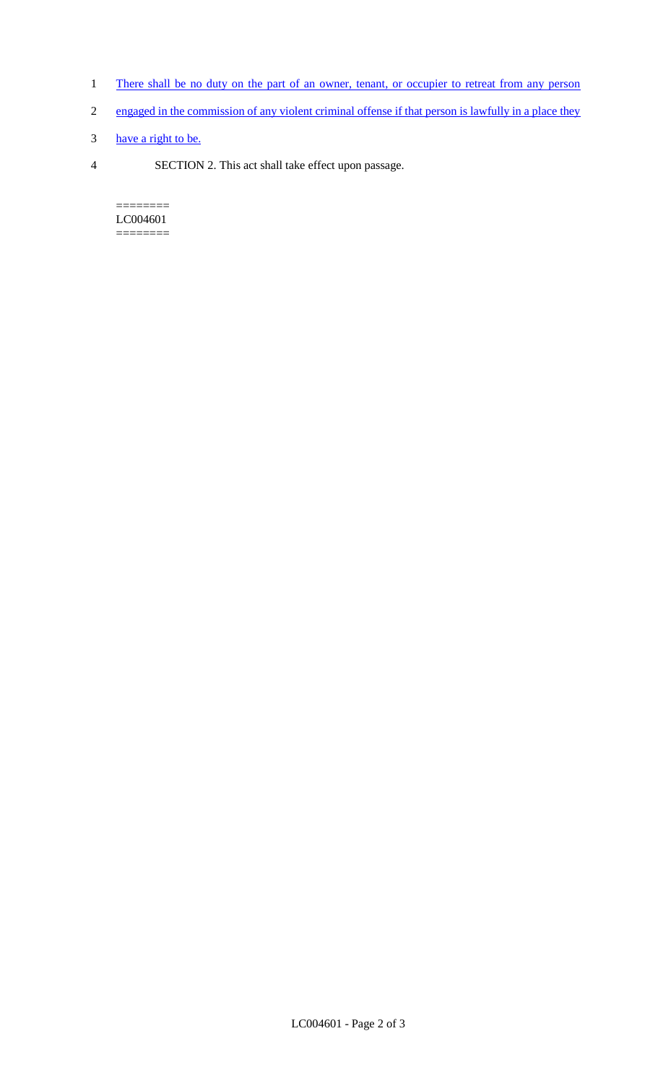- 1 There shall be no duty on the part of an owner, tenant, or occupier to retreat from any person
- 2 engaged in the commission of any violent criminal offense if that person is lawfully in a place they
- 3 have a right to be.
- 4 SECTION 2. This act shall take effect upon passage.

======== LC004601  $=$